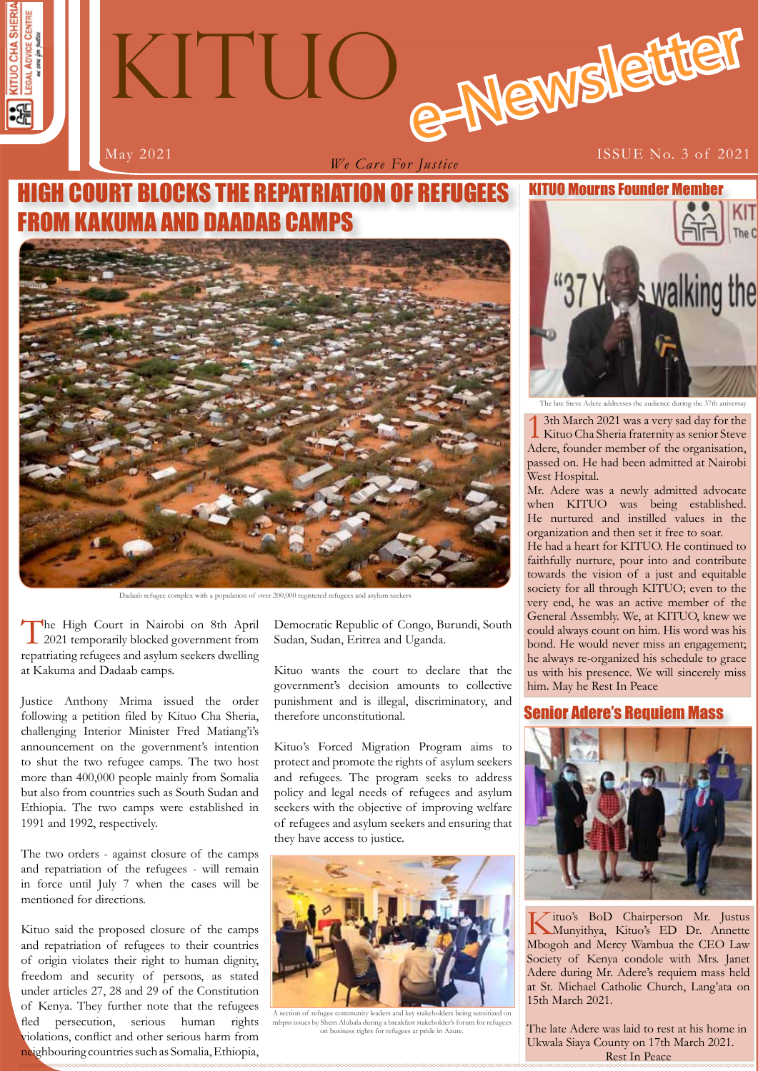



*We Care For Justice*

# **H** COURT BLOCKS THE REPATRIATION OF REFUGEES ND DAADAB CAMPS



Dadaab refugee complex with a population of over 200,000 registered refugees and asylum seekers

The High Court in Nairobi on 8th April<br>2021 temporarily blocked government from repatriating refugees and asylum seekers dwelling at Kakuma and Dadaab camps.

Justice Anthony Mrima issued the order following a petition filed by Kituo Cha Sheria, challenging Interior Minister Fred Matiang'i's announcement on the government's intention to shut the two refugee camps. The two host more than 400,000 people mainly from Somalia but also from countries such as South Sudan and Ethiopia. The two camps were established in 1991 and 1992, respectively.

The two orders - against closure of the camps and repatriation of the refugees - will remain in force until July 7 when the cases will be mentioned for directions.

Kituo said the proposed closure of the camps and repatriation of refugees to their countries of origin violates their right to human dignity, freedom and security of persons, as stated under articles 27, 28 and 29 of the Constitution of Kenya. They further note that the refugees fled persecution, serious human rights violations, conflict and other serious harm from neighbouring countries such as Somalia, Ethiopia,

Democratic Republic of Congo, Burundi, South Sudan, Sudan, Eritrea and Uganda.

Kituo wants the court to declare that the government's decision amounts to collective punishment and is illegal, discriminatory, and therefore unconstitutional.

Kituo's Forced Migration Program aims to protect and promote the rights of asylum seekers and refugees. The program seeks to address policy and legal needs of refugees and asylum seekers with the objective of improving welfare of refugees and asylum seekers and ensuring that they have access to justice.



mhpss issues by Shem Alubala during a breakfast stakeholder's forum for refugees on business rights for refugees at pride in Azure.



The late Steve Adere addresses the audience during the 37th aniversation

13th March 2021 was a very sad day for the Kituo Cha Sheria fraternity as senior Steve Adere, founder member of the organisation, passed on. He had been admitted at Nairobi West Hospital.

Mr. Adere was a newly admitted advocate when KITUO was being established. He nurtured and instilled values in the organization and then set it free to soar.

He had a heart for KITUO. He continued to faithfully nurture, pour into and contribute towards the vision of a just and equitable society for all through KITUO; even to the very end, he was an active member of the General Assembly. We, at KITUO, knew we could always count on him. His word was his bond. He would never miss an engagement; he always re-organized his schedule to grace us with his presence. We will sincerely miss him. May he Rest In Peace

### Senior Adere's Requiem Mass



Kituo's BoD Chairperson Mr. Justus Munyithya, Kituo's ED Dr. Annette Mbogoh and Mercy Wambua the CEO Law Society of Kenya condole with Mrs. Janet Adere during Mr. Adere's requiem mass held at St. Michael Catholic Church, Lang'ata on 15th March 2021.

**1 1** Ukwala Siaya County on 17th March 2021. The late Adere was laid to rest at his home in Rest In Peace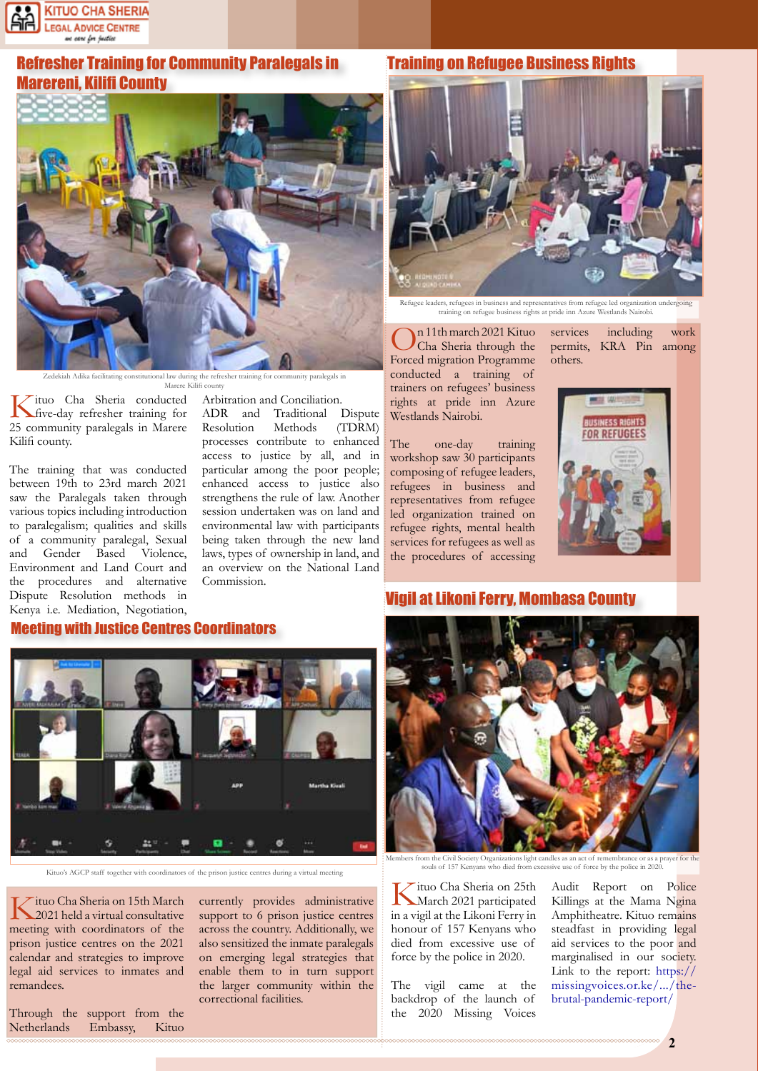

## Refresher Training for Community Paralegals in Marereni, Kilifi County



Adika facilitating constitutional law during the refresher training for community paralegals in

Meeting with Justice Centres Coordinators

Marere Kilifi county

Kituo Cha Sheria conducted five-day refresher training for 25 community paralegals in Marere Kilifi county.

The training that was conducted between 19th to 23rd march 2021 saw the Paralegals taken through various topics including introduction to paralegalism; qualities and skills of a community paralegal, Sexual and Gender Based Violence, Environment and Land Court and the procedures and alternative Dispute Resolution methods in Kenya i.e. Mediation, Negotiation,

Arbitration and Conciliation. ADR and Traditional Dispute<br>Resolution Methods (TDRM) Resolution Methods processes contribute to enhanced access to justice by all, and in particular among the poor people; enhanced access to justice also strengthens the rule of law. Another session undertaken was on land and environmental law with participants being taken through the new land laws, types of ownership in land, and an overview on the National Land Commission.

#### Training on Refugee Business Rights



ders, refugees in business and representatives from refugee led organization training on refugee business rights at pride inn Azure Westlands Nairobi.

On 11th march 2021 Kituo Cha Sheria through the Forced migration Programme conducted a training of trainers on refugees' business rights at pride inn Azure Westlands Nairobi.

The one-day training workshop saw 30 participants composing of refugee leaders, refugees in business and representatives from refugee led organization trained on refugee rights, mental health services for refugees as well as the procedures of accessing

services including work permits, KRA Pin among others.



### Vigil at Likoni Ferry, Mombasa County



Kituo's AGCP staff together with coordinators of the prison justice centres during a virtual meeting

Kituo Cha Sheria on 15th March 2021 held a virtual consultative meeting with coordinators of the prison justice centres on the 2021 calendar and strategies to improve legal aid services to inmates and remandees.

Through the support from the Netherlands Embassy, Kituo

currently provides administrative support to 6 prison justice centres across the country. Additionally, we also sensitized the inmate paralegals on emerging legal strategies that enable them to in turn support the larger community within the

correctional facilities.



Members from the Civil Society Organizations light candles as an act of remembrance or as a prayer for the souls of 157 Kenyans who died from excessive use of force by the police in 2020.

Kituo Cha Sheria on 25th March 2021 participated in a vigil at the Likoni Ferry in honour of 157 Kenyans who died from excessive use of force by the police in 2020.

The vigil came at the backdrop of the launch of the 2020 Missing Voices Audit Report on Police Killings at the Mama Ngina Amphitheatre. Kituo remains steadfast in providing legal aid services to the poor and marginalised in our society. Link to the report: https:// missingvoices.or.ke/.../thebrutal-pandemic-report/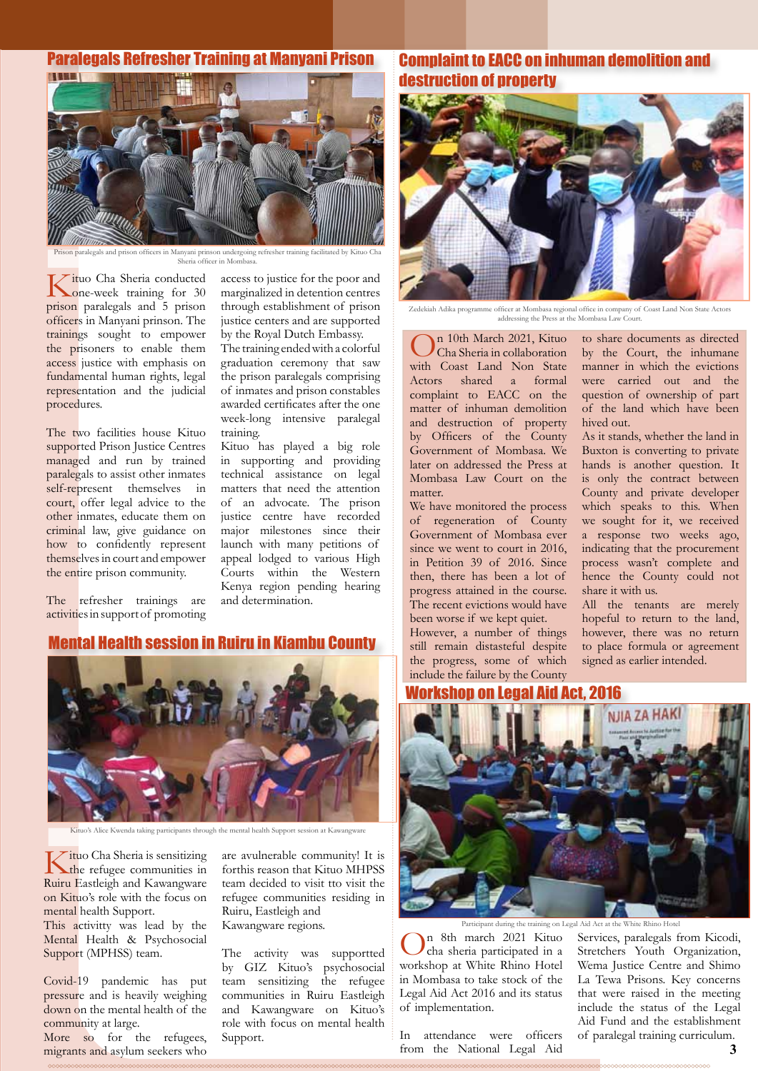#### Paralegals Refresher Training at Manyani Prison



paralegals and prison officers in Manyani prinson undergoing refresher training facilitated by Kit Sheria officer in Mombasa.

Kituo Cha Sheria conducted one-week training for 30 prison paralegals and 5 prison officers in Manyani prinson. The trainings sought to empower the prisoners to enable them access justice with emphasis on fundamental human rights, legal representation and the judicial procedures.

The two facilities house Kituo supported Prison Justice Centres managed and run by trained paralegals to assist other inmates self-represent themselves in court, offer legal advice to the other inmates, educate them on criminal law, give guidance on how to confidently represent themselves in court and empower the entire prison community.

access to justice for the poor and marginalized in detention centres through establishment of prison justice centers and are supported by the Royal Dutch Embassy.

The training ended with a colorful graduation ceremony that saw the prison paralegals comprising of inmates and prison constables awarded certificates after the one week-long intensive paralegal training.

Kituo has played a big role in supporting and providing technical assistance on legal matters that need the attention of an advocate. The prison justice centre have recorded major milestones since their launch with many petitions of appeal lodged to various High Courts within the Western Kenya region pending hearing and determination.

The refresher trainings are activities in support of promoting

#### Mental Health session in Ruiru in Kiambu County



Kituo's Alice Kwenda taking participants through the mental health Support session at Kawangware

Kituo Cha Sheria is sensitizing<br>the refugee communities in Ruiru Eastleigh and Kawangware on Kituo's role with the focus on mental health Support. This activitty was lead by the

Mental Health & Psychosocial Support (MPHSS) team.

Covid-19 pandemic has put pressure and is heavily weighing down on the mental health of the community at large.

More so for the refugees, migrants and asylum seekers who

are avulnerable community! It is forthis reason that Kituo MHPSS team decided to visit tto visit the refugee communities residing in Ruiru, Eastleigh and Kawangware regions.

The activity was supportted by GIZ Kituo's psychosocial team sensitizing the refugee communities in Ruiru Eastleigh and Kawangware on Kituo's role with focus on mental health Support.

## Complaint to EACC on inhuman demolition and destruction of property



Zedekiah Adika programme officer at Mombasa regional office in company of Coast Land Non State Actors addressing the Press at the Mombasa Law Court.

On 10th March 2021, Kituo Cha Sheria in collaboration with Coast Land Non State Actors shared a formal complaint to EACC on the matter of inhuman demolition and destruction of property by Officers of the County Government of Mombasa. We later on addressed the Press at Mombasa Law Court on the matter.

We have monitored the process of regeneration of County Government of Mombasa ever since we went to court in 2016, in Petition 39 of 2016. Since then, there has been a lot of progress attained in the course. The recent evictions would have been worse if we kept quiet.

However, a number of things still remain distasteful despite the progress, some of which include the failure by the County

to share documents as directed by the Court, the inhumane manner in which the evictions were carried out and the question of ownership of part of the land which have been hived out.

As it stands, whether the land in Buxton is converting to private hands is another question. It is only the contract between County and private developer which speaks to this. When we sought for it, we received a response two weeks ago, indicating that the procurement process wasn't complete and hence the County could not share it with us.

All the tenants are merely hopeful to return to the land, however, there was no return to place formula or agreement signed as earlier intended.

#### Workshop on Legal Aid Act, 2016



 $\bigodot$ n 8th march 2021 Kituo workshop at White Rhino Hotel in Mombasa to take stock of the Legal Aid Act 2016 and its status of implementation. nt during the training on Legal Aid Act at the White Rhino Hotel

In attendance were officers from the National Legal Aid

**33 <sup>3</sup>** of paralegal training curriculum. Services, paralegals from Kicodi, Stretchers Youth Organization, Wema Justice Centre and Shimo La Tewa Prisons. Key concerns that were raised in the meeting include the status of the Legal Aid Fund and the establishment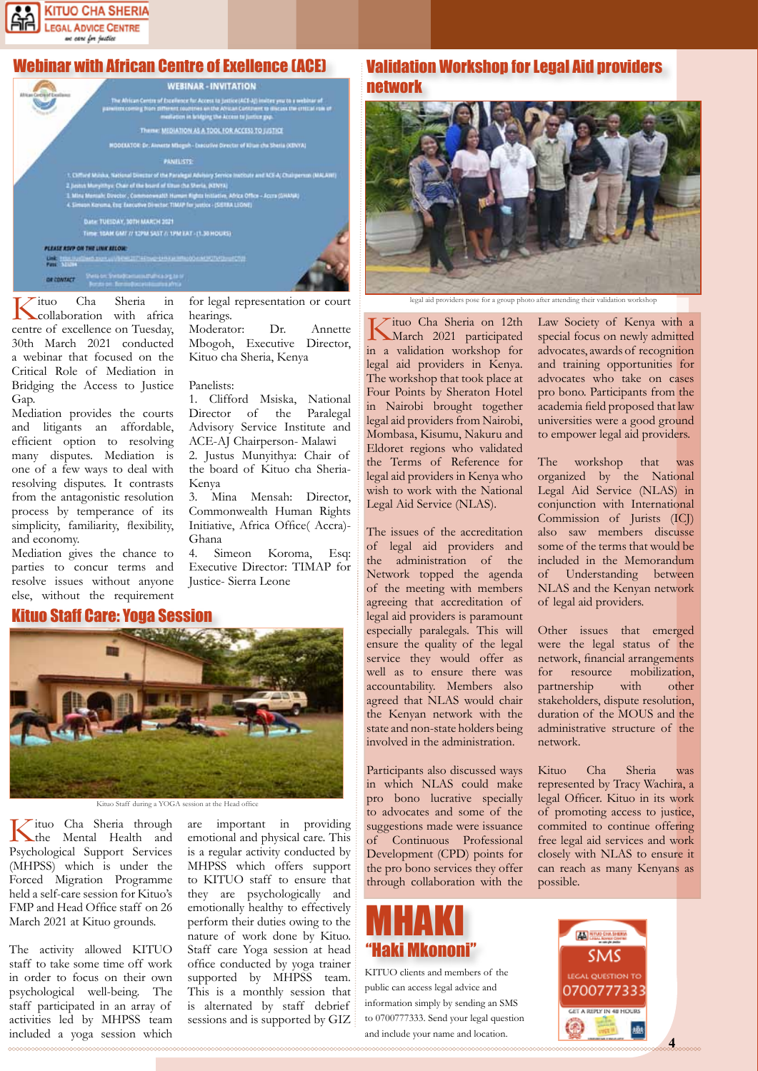

# Webinar with African Centre of Exellence (ACE)



hearings.

Panelists:

Kenya

Ghana

for legal representation or court

Moderator: Dr. Annette Mbogoh, Executive Director,

1. Clifford Msiska, National Director of the Paralegal Advisory Service Institute and ACE-AJ Chairperson- Malawi 2. Justus Munyithya: Chair of the board of Kituo cha Sheria-

3. Mina Mensah: Director, Commonwealth Human Rights Initiative, Africa Office( Accra)-

4. Simeon Koroma, Esq: Executive Director: TIMAP for

Justice- Sierra Leone

Kituo cha Sheria, Kenya

Kituo Cha Sheria in collaboration with africa centre of excellence on Tuesday, 30th March 2021 conducted a webinar that focused on the Critical Role of Mediation in Bridging the Access to Justice Gap.

Mediation provides the courts and litigants an affordable, efficient option to resolving many disputes. Mediation is one of a few ways to deal with resolving disputes. It contrasts from the antagonistic resolution process by temperance of its simplicity, familiarity, flexibility, and economy.

Mediation gives the chance to parties to concur terms and resolve issues without anyone else, without the requirement

#### Kituo Staff Care: Yoga Session



Kituo Staff during a YOGA session at the Head office

Kituo Cha Sheria through the Mental Health and Psychological Support Services (MHPSS) which is under the Forced Migration Programme held a self-care session for Kituo's FMP and Head Office staff on 26 March 2021 at Kituo grounds.

The activity allowed KITUO staff to take some time off work in order to focus on their own psychological well-being. The staff participated in an array of activities led by MHPSS team included a yoga session which

are important in providing emotional and physical care. This is a regular activity conducted by MHPSS which offers support to KITUO staff to ensure that they are psychologically and emotionally healthy to effectively perform their duties owing to the nature of work done by Kituo. Staff care Yoga session at head office conducted by yoga trainer supported by MHPSS team. This is a monthly session that is alternated by staff debrief sessions and is supported by GIZ

## Validation Workshop for Legal Aid providers network



legal aid providers pose for a group photo after attending their validation workshop

Kituo Cha Sheria on 12th March 2021 participated in a validation workshop for legal aid providers in Kenya. The workshop that took place at Four Points by Sheraton Hotel in Nairobi brought together legal aid providers from Nairobi, Mombasa, Kisumu, Nakuru and Eldoret regions who validated the Terms of Reference for legal aid providers in Kenya who wish to work with the National Legal Aid Service (NLAS).

The issues of the accreditation of legal aid providers and the administration of the Network topped the agenda of the meeting with members agreeing that accreditation of legal aid providers is paramount especially paralegals. This will ensure the quality of the legal service they would offer as well as to ensure there was accountability. Members also agreed that NLAS would chair the Kenyan network with the state and non-state holders being involved in the administration.

Participants also discussed ways in which NLAS could make pro bono lucrative specially to advocates and some of the suggestions made were issuance of Continuous Professional Development (CPD) points for the pro bono services they offer through collaboration with the

# MHAKI "Haki Mkononi"

KITUO clients and members of the public can access legal advice and information simply by sending an SMS to 0700777333. Send your legal question and include your name and location.

Law Society of Kenya with a special focus on newly admitted advocates, awards of recognition and training opportunities for advocates who take on cases pro bono. Participants from the academia field proposed that law universities were a good ground to empower legal aid providers.

The workshop that was organized by the National Legal Aid Service (NLAS) in conjunction with International Commission of Jurists (ICJ) also saw members discusse some of the terms that would be included in the Memorandum Understanding between NLAS and the Kenyan network of legal aid providers.

Other issues that emerged were the legal status of the network, financial arrangements for resource mobilization,<br>partnership with other partnership with other stakeholders, dispute resolution, duration of the MOUS and the administrative structure of the network.

Kituo Cha Sheria was represented by Tracy Wachira, a legal Officer. Kituo in its work of promoting access to justice, commited to continue offering free legal aid services and work closely with NLAS to ensure it can reach as many Kenyans as possible.